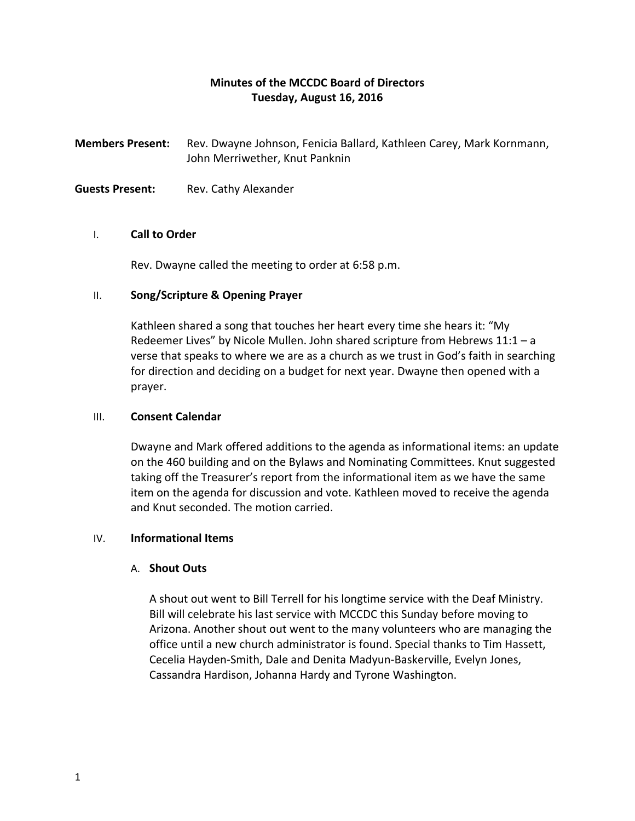# **Minutes of the MCCDC Board of Directors Tuesday, August 16, 2016**

**Members Present:** Rev. Dwayne Johnson, Fenicia Ballard, Kathleen Carey, Mark Kornmann, John Merriwether, Knut Panknin

**Guests Present:** Rev. Cathy Alexander

### I. **Call to Order**

Rev. Dwayne called the meeting to order at 6:58 p.m.

### II. **Song/Scripture & Opening Prayer**

Kathleen shared a song that touches her heart every time she hears it: "My Redeemer Lives" by Nicole Mullen. John shared scripture from Hebrews 11:1 – a verse that speaks to where we are as a church as we trust in God's faith in searching for direction and deciding on a budget for next year. Dwayne then opened with a prayer.

### III. **Consent Calendar**

Dwayne and Mark offered additions to the agenda as informational items: an update on the 460 building and on the Bylaws and Nominating Committees. Knut suggested taking off the Treasurer's report from the informational item as we have the same item on the agenda for discussion and vote. Kathleen moved to receive the agenda and Knut seconded. The motion carried.

# IV. **Informational Items**

# A. **Shout Outs**

A shout out went to Bill Terrell for his longtime service with the Deaf Ministry. Bill will celebrate his last service with MCCDC this Sunday before moving to Arizona. Another shout out went to the many volunteers who are managing the office until a new church administrator is found. Special thanks to Tim Hassett, Cecelia Hayden-Smith, Dale and Denita Madyun-Baskerville, Evelyn Jones, Cassandra Hardison, Johanna Hardy and Tyrone Washington.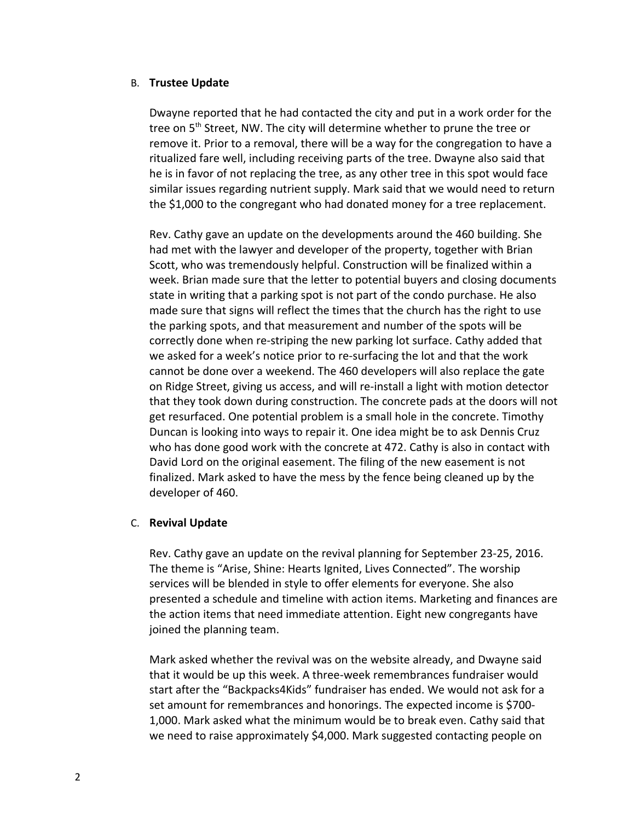#### B. **Trustee Update**

Dwayne reported that he had contacted the city and put in a work order for the tree on 5<sup>th</sup> Street, NW. The city will determine whether to prune the tree or remove it. Prior to a removal, there will be a way for the congregation to have a ritualized fare well, including receiving parts of the tree. Dwayne also said that he is in favor of not replacing the tree, as any other tree in this spot would face similar issues regarding nutrient supply. Mark said that we would need to return the \$1,000 to the congregant who had donated money for a tree replacement.

Rev. Cathy gave an update on the developments around the 460 building. She had met with the lawyer and developer of the property, together with Brian Scott, who was tremendously helpful. Construction will be finalized within a week. Brian made sure that the letter to potential buyers and closing documents state in writing that a parking spot is not part of the condo purchase. He also made sure that signs will reflect the times that the church has the right to use the parking spots, and that measurement and number of the spots will be correctly done when re-striping the new parking lot surface. Cathy added that we asked for a week's notice prior to re-surfacing the lot and that the work cannot be done over a weekend. The 460 developers will also replace the gate on Ridge Street, giving us access, and will re-install a light with motion detector that they took down during construction. The concrete pads at the doors will not get resurfaced. One potential problem is a small hole in the concrete. Timothy Duncan is looking into ways to repair it. One idea might be to ask Dennis Cruz who has done good work with the concrete at 472. Cathy is also in contact with David Lord on the original easement. The filing of the new easement is not finalized. Mark asked to have the mess by the fence being cleaned up by the developer of 460.

#### C. **Revival Update**

Rev. Cathy gave an update on the revival planning for September 23-25, 2016. The theme is "Arise, Shine: Hearts Ignited, Lives Connected". The worship services will be blended in style to offer elements for everyone. She also presented a schedule and timeline with action items. Marketing and finances are the action items that need immediate attention. Eight new congregants have joined the planning team.

Mark asked whether the revival was on the website already, and Dwayne said that it would be up this week. A three-week remembrances fundraiser would start after the "Backpacks4Kids" fundraiser has ended. We would not ask for a set amount for remembrances and honorings. The expected income is \$700- 1,000. Mark asked what the minimum would be to break even. Cathy said that we need to raise approximately \$4,000. Mark suggested contacting people on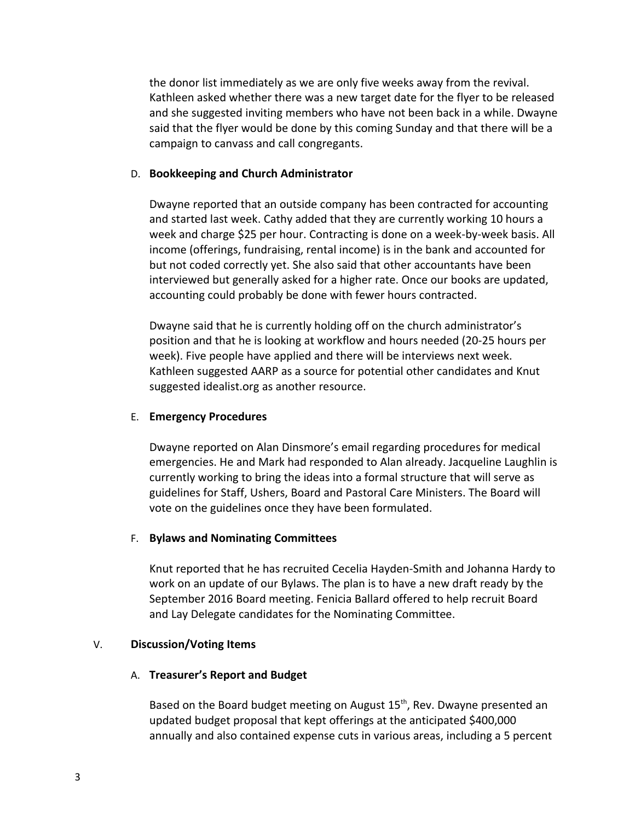the donor list immediately as we are only five weeks away from the revival. Kathleen asked whether there was a new target date for the flyer to be released and she suggested inviting members who have not been back in a while. Dwayne said that the flyer would be done by this coming Sunday and that there will be a campaign to canvass and call congregants.

#### D. **Bookkeeping and Church Administrator**

Dwayne reported that an outside company has been contracted for accounting and started last week. Cathy added that they are currently working 10 hours a week and charge \$25 per hour. Contracting is done on a week-by-week basis. All income (offerings, fundraising, rental income) is in the bank and accounted for but not coded correctly yet. She also said that other accountants have been interviewed but generally asked for a higher rate. Once our books are updated, accounting could probably be done with fewer hours contracted.

Dwayne said that he is currently holding off on the church administrator's position and that he is looking at workflow and hours needed (20-25 hours per week). Five people have applied and there will be interviews next week. Kathleen suggested AARP as a source for potential other candidates and Knut suggested idealist.org as another resource.

#### E. **Emergency Procedures**

Dwayne reported on Alan Dinsmore's email regarding procedures for medical emergencies. He and Mark had responded to Alan already. Jacqueline Laughlin is currently working to bring the ideas into a formal structure that will serve as guidelines for Staff, Ushers, Board and Pastoral Care Ministers. The Board will vote on the guidelines once they have been formulated.

# F. **Bylaws and Nominating Committees**

Knut reported that he has recruited Cecelia Hayden-Smith and Johanna Hardy to work on an update of our Bylaws. The plan is to have a new draft ready by the September 2016 Board meeting. Fenicia Ballard offered to help recruit Board and Lay Delegate candidates for the Nominating Committee.

# V. **Discussion/Voting Items**

# A. **Treasurer's Report and Budget**

Based on the Board budget meeting on August 15<sup>th</sup>, Rev. Dwayne presented an updated budget proposal that kept offerings at the anticipated \$400,000 annually and also contained expense cuts in various areas, including a 5 percent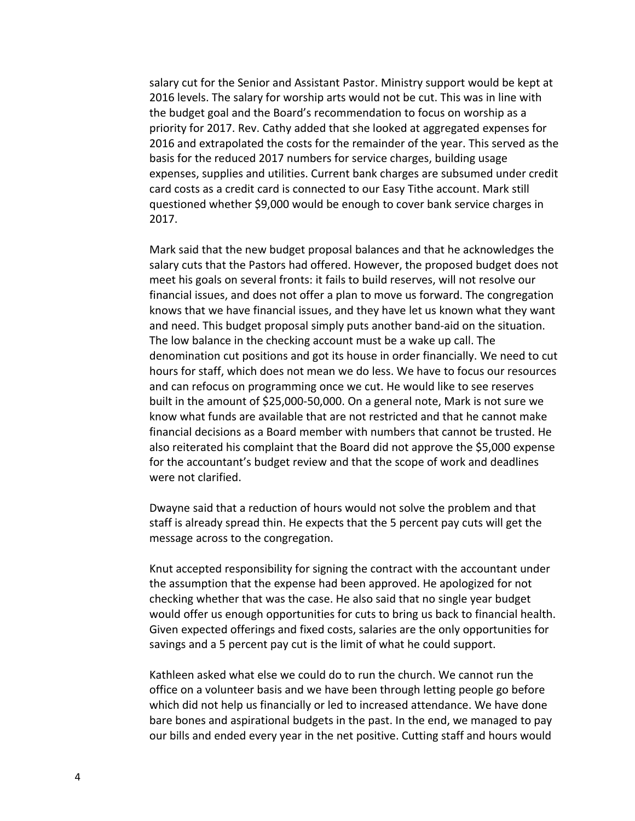salary cut for the Senior and Assistant Pastor. Ministry support would be kept at 2016 levels. The salary for worship arts would not be cut. This was in line with the budget goal and the Board's recommendation to focus on worship as a priority for 2017. Rev. Cathy added that she looked at aggregated expenses for 2016 and extrapolated the costs for the remainder of the year. This served as the basis for the reduced 2017 numbers for service charges, building usage expenses, supplies and utilities. Current bank charges are subsumed under credit card costs as a credit card is connected to our Easy Tithe account. Mark still questioned whether \$9,000 would be enough to cover bank service charges in 2017.

Mark said that the new budget proposal balances and that he acknowledges the salary cuts that the Pastors had offered. However, the proposed budget does not meet his goals on several fronts: it fails to build reserves, will not resolve our financial issues, and does not offer a plan to move us forward. The congregation knows that we have financial issues, and they have let us known what they want and need. This budget proposal simply puts another band-aid on the situation. The low balance in the checking account must be a wake up call. The denomination cut positions and got its house in order financially. We need to cut hours for staff, which does not mean we do less. We have to focus our resources and can refocus on programming once we cut. He would like to see reserves built in the amount of \$25,000-50,000. On a general note, Mark is not sure we know what funds are available that are not restricted and that he cannot make financial decisions as a Board member with numbers that cannot be trusted. He also reiterated his complaint that the Board did not approve the \$5,000 expense for the accountant's budget review and that the scope of work and deadlines were not clarified.

Dwayne said that a reduction of hours would not solve the problem and that staff is already spread thin. He expects that the 5 percent pay cuts will get the message across to the congregation.

Knut accepted responsibility for signing the contract with the accountant under the assumption that the expense had been approved. He apologized for not checking whether that was the case. He also said that no single year budget would offer us enough opportunities for cuts to bring us back to financial health. Given expected offerings and fixed costs, salaries are the only opportunities for savings and a 5 percent pay cut is the limit of what he could support.

Kathleen asked what else we could do to run the church. We cannot run the office on a volunteer basis and we have been through letting people go before which did not help us financially or led to increased attendance. We have done bare bones and aspirational budgets in the past. In the end, we managed to pay our bills and ended every year in the net positive. Cutting staff and hours would